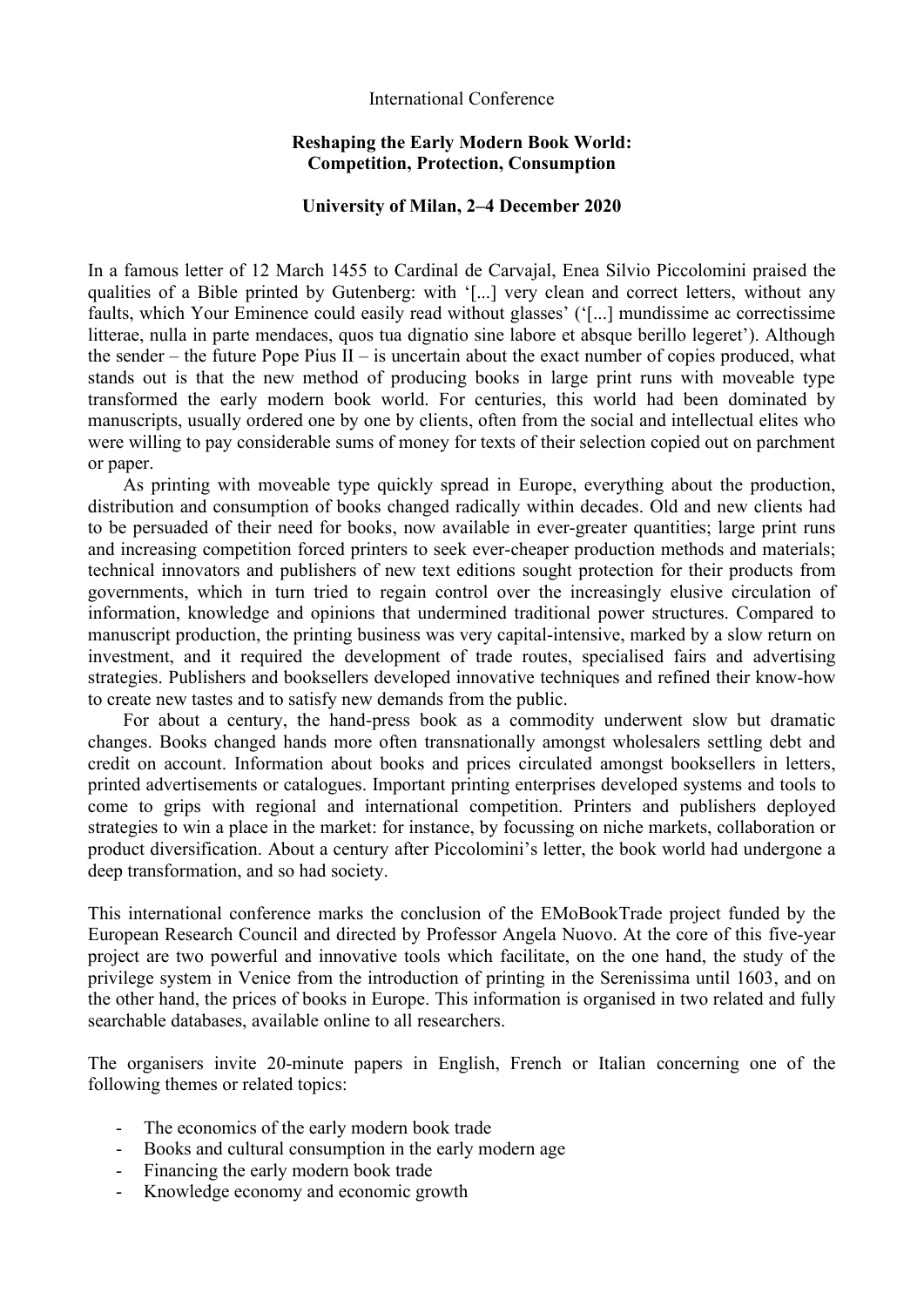#### International Conference

### **Reshaping the Early Modern Book World: Competition, Protection, Consumption**

#### **University of Milan, 2–4 December 2020**

In a famous letter of 12 March 1455 to Cardinal de Carvajal, Enea Silvio Piccolomini praised the qualities of a Bible printed by Gutenberg: with '[...] very clean and correct letters, without any faults, which Your Eminence could easily read without glasses' ('[...] mundissime ac correctissime litterae, nulla in parte mendaces, quos tua dignatio sine labore et absque berillo legeret'). Although the sender – the future Pope Pius II – is uncertain about the exact number of copies produced, what stands out is that the new method of producing books in large print runs with moveable type transformed the early modern book world. For centuries, this world had been dominated by manuscripts, usually ordered one by one by clients, often from the social and intellectual elites who were willing to pay considerable sums of money for texts of their selection copied out on parchment or paper.

As printing with moveable type quickly spread in Europe, everything about the production, distribution and consumption of books changed radically within decades. Old and new clients had to be persuaded of their need for books, now available in ever-greater quantities; large print runs and increasing competition forced printers to seek ever-cheaper production methods and materials; technical innovators and publishers of new text editions sought protection for their products from governments, which in turn tried to regain control over the increasingly elusive circulation of information, knowledge and opinions that undermined traditional power structures. Compared to manuscript production, the printing business was very capital-intensive, marked by a slow return on investment, and it required the development of trade routes, specialised fairs and advertising strategies. Publishers and booksellers developed innovative techniques and refined their know-how to create new tastes and to satisfy new demands from the public.

For about a century, the hand-press book as a commodity underwent slow but dramatic changes. Books changed hands more often transnationally amongst wholesalers settling debt and credit on account. Information about books and prices circulated amongst booksellers in letters, printed advertisements or catalogues. Important printing enterprises developed systems and tools to come to grips with regional and international competition. Printers and publishers deployed strategies to win a place in the market: for instance, by focussing on niche markets, collaboration or product diversification. About a century after Piccolomini's letter, the book world had undergone a deep transformation, and so had society.

This international conference marks the conclusion of the EMoBookTrade project funded by the European Research Council and directed by Professor Angela Nuovo. At the core of this five-year project are two powerful and innovative tools which facilitate, on the one hand, the study of the privilege system in Venice from the introduction of printing in the Serenissima until 1603, and on the other hand, the prices of books in Europe. This information is organised in two related and fully searchable databases, available online to all researchers.

The organisers invite 20-minute papers in English, French or Italian concerning one of the following themes or related topics:

- The economics of the early modern book trade
- Books and cultural consumption in the early modern age
- Financing the early modern book trade
- Knowledge economy and economic growth